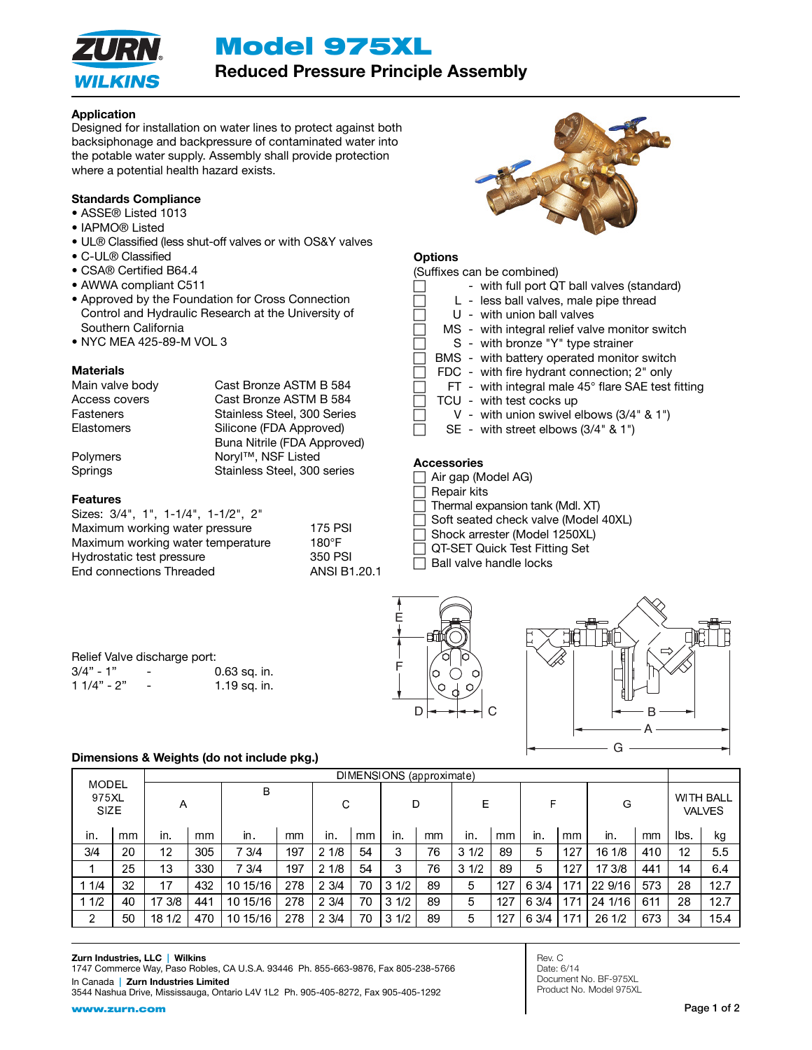Model 975XL



# Reduced Pressure Principle Assembly

## Application

Designed for installation on water lines to protect against both backsiphonage and backpressure of contaminated water into the potable water supply. Assembly shall provide protection where a potential health hazard exists.

## Standards Compliance

- ASSE® Listed 1013
- IAPMO® Listed
- UL® Classified (less shut-off valves or with OS&Y valves
- C-UL® Classified
- CSA® Certified B64.4
- AWWA compliant C511
- Approved by the Foundation for Cross Connection Control and Hydraulic Research at the University of Southern California
- NYC MEA 425-89-M VOL 3

## **Materials**

Main valve body Cast Bronze ASTM B 584 Access covers Cast Bronze ASTM B 584 Fasteners **Stainless** Steel, 300 Series Elastomers Silicone (FDA Approved) Buna Nitrile (FDA Approved) Polymers Noryl™, NSF Listed Springs Stainless Steel, 300 series

## Features

Sizes: 3/4", 1", 1-1/4", 1-1/2", 2" Maximum working water pressure Maximum working water temperature Hydrostatic test pressure End connections Threaded ANSI B1.20.1

| 175 PSI     |
|-------------|
| 180°F       |
| 350 PSI     |
| ANSI B1.20. |



# **Options**

|  | (Suffixes can be combined)                         |
|--|----------------------------------------------------|
|  | - with full port QT ball valves (standard)         |
|  | L - less ball valves, male pipe thread             |
|  | U - with union ball valves                         |
|  | MS - with integral relief valve monitor switch     |
|  | S - with bronze "Y" type strainer                  |
|  | BMS - with battery operated monitor switch         |
|  | FDC - with fire hydrant connection; 2" only        |
|  | FT - with integral male 45° flare SAE test fitting |
|  | TCU - with test cocks up                           |
|  | V - with union swivel elbows $(3/4"$ & 1")         |
|  | SE - with street elbows (3/4" & 1")                |
|  |                                                    |

## **Accessories**

- $\Box$  Air gap (Model AG)
- **Repair kits**
- Thermal expansion tank (Mdl. XT)
- Soft seated check valve (Model 40XL)
- Shock arrester (Model 1250XL)
- QT-SET Quick Test Fitting Set
- Ball valve handle locks

| Relief Valve discharge port: |                              |                |  |  |  |  |  |  |
|------------------------------|------------------------------|----------------|--|--|--|--|--|--|
| $3/4" - 1"$                  | $\overline{\phantom{0}}$     | $0.63$ sq. in. |  |  |  |  |  |  |
| $11/4" - 2"$                 | $\qquad \qquad \blacksquare$ | 1.19 sq. in.   |  |  |  |  |  |  |





# Dimensions & Weights (do not include pkg.)

|                                      |    | DIMENSIONS (approximate) |     |          |     |      |    |          |    |      |     |       |     |         |     |      |                                   |
|--------------------------------------|----|--------------------------|-----|----------|-----|------|----|----------|----|------|-----|-------|-----|---------|-----|------|-----------------------------------|
| <b>MODEL</b><br>975XL<br><b>SIZE</b> |    | A                        |     | В        |     | C    |    | D        |    | E    |     | F     |     | G       |     |      | <b>WITH BALL</b><br><b>VALVES</b> |
| in.                                  | mm | in.                      | mm  | in.      | mm  | in.  | mm | in.      | mm | in.  | mm  | in.   | mm  | in.     | mm  | lbs. | kg                                |
| 3/4                                  | 20 | 12                       | 305 | 7 3/4    | 197 | 21/8 | 54 | 3        | 76 | 31/2 | 89  | 5     | 127 | 16 1/8  | 410 | 12   | 55                                |
|                                      | 25 | 13                       | 330 | 7 3/4    | 197 | 21/8 | 54 | 3        | 76 | 31/2 | 89  | 5     | 127 | 17 3/8  | 441 | 14   | 6.4                               |
| 11/4                                 | 32 | 17                       | 432 | 10 15/16 | 278 | 23/4 | 70 | 1/2<br>3 | 89 | 5    | 127 | 6 3/4 | 171 | 22 9/16 | 573 | 28   | 12.7                              |
| 11/2                                 | 40 | 173/8                    | 441 | 10 15/16 | 278 | 23/4 | 70 | 1/2<br>3 | 89 | 5    | 127 | 6 3/4 | 171 | 24 1/16 | 611 | 28   | 12.7                              |
| 2                                    | 50 | 18 1/2                   | 470 | 10 15/16 | 278 | 23/4 | 70 | 1/2<br>3 | 89 | 5    | 127 | 6 3/4 | 171 | 26 1/2  | 673 | 34   | 154                               |

#### Zurn Industries, LLC | Wilkins

1747 Commerce Way, Paso Robles, CA U.S.A. 93446 Ph. 855-663-9876, Fax 805-238-5766 In Canada | Zurn Industries Limited

3544 Nashua Drive, Mississauga, Ontario L4V 1L2 Ph. 905-405-8272, Fax 905-405-1292